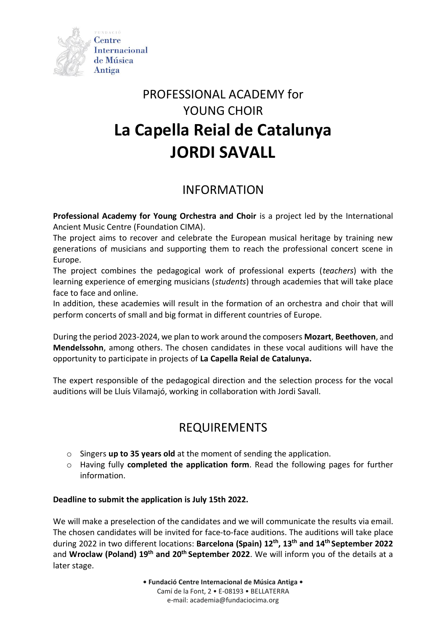

# PROFESSIONAL ACADEMY for YOUNG CHOIR **La Capella Reial de Catalunya JORDI SAVALL**

## INFORMATION

**Professional Academy for Young Orchestra and Choir** is a project led by the International Ancient Music Centre (Foundation CIMA).

The project aims to recover and celebrate the European musical heritage by training new generations of musicians and supporting them to reach the professional concert scene in Europe.

The project combines the pedagogical work of professional experts (*teachers*) with the learning experience of emerging musicians (*students*) through academies that will take place face to face and online.

In addition, these academies will result in the formation of an orchestra and choir that will perform concerts of small and big format in different countries of Europe.

During the period 2023-2024, we plan to work around the composers **Mozart**, **Beethoven**, and **Mendelssohn**, among others. The chosen candidates in these vocal auditions will have the opportunity to participate in projects of **La Capella Reial de Catalunya.**

The expert responsible of the pedagogical direction and the selection process for the vocal auditions will be Lluís Vilamajó, working in collaboration with Jordi Savall.

### REQUIREMENTS

- o Singers **up to 35 years old** at the moment of sending the application.
- o Having fully **completed the application form**. Read the following pages for further information.

#### **Deadline to submit the application is July 15th 2022.**

We will make a preselection of the candidates and we will communicate the results via email. The chosen candidates will be invited for face-to-face auditions. The auditions will take place during 2022 in two different locations: **Barcelona (Spain) 12th , 13th and 14th September 2022** and **Wroclaw (Poland) 19th and 20th September 2022**. We will inform you of the details at a later stage.

**• Fundació Centre Internacional de Música Antiga •**

Camí de la Font, 2 • E-08193 • BELLATERRA e-mail: academia@fundaciocima.org